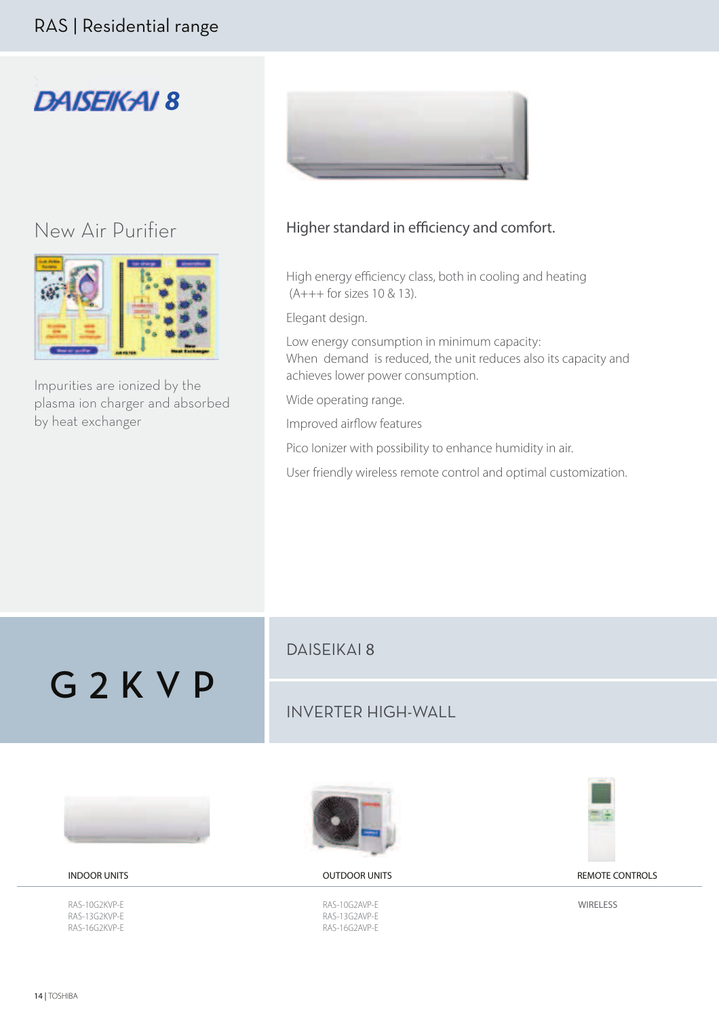

## Νew Air Purifier



Impurities are ionized by the plasma ion charger and absorbed by heat exchanger



## Higher standard in efficiency and comfort.

High energy efficiency class, both in cooling and heating (A+++ for sizes 10 & 13).

Elegant design.

Low energy consumption in minimum capacity: When demand is reduced, the unit reduces also its capacity and achieves lower power consumption.

Wide operating range.

Improved airflow features

Pico Ionizer with possibility to enhance humidity in air.

User friendly wireless remote control and optimal customization.

G 2 K V P

## DAISEIKAI 8

## INVERTER HIGH-WALL





RAS-10G2KVP-E RAS-13G2KVP-E RAS-16G2KVP-E



RAS-10G2AVP-E RAS-13G2AVP-E RAS-16G2AVP-E



INDOOR UNITS OUTDOOR UNITS REMOTE CONTROLS

**WIRELESS**